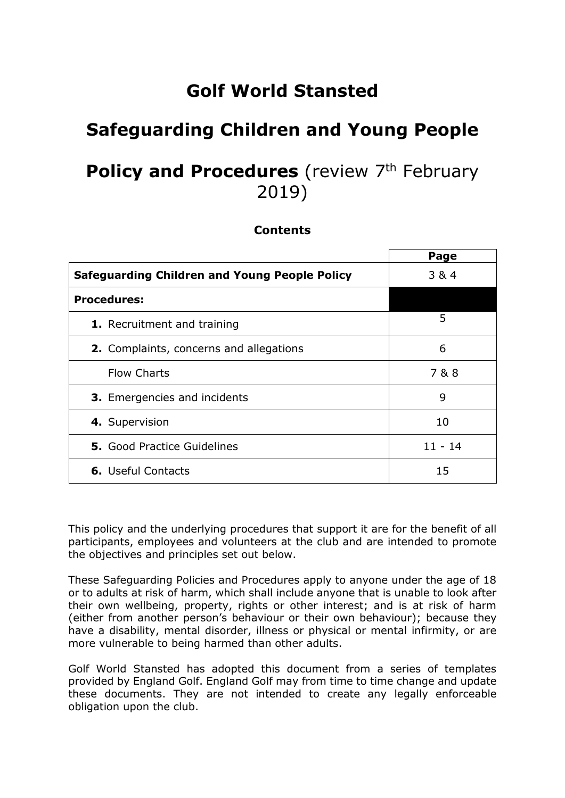# **Golf World Stansted**

## **Safeguarding Children and Young People**

## **Policy and Procedures** (review 7<sup>th</sup> February 2019)

#### **Contents**

|                                                      | Page      |
|------------------------------------------------------|-----------|
| <b>Safeguarding Children and Young People Policy</b> | 3 & 4     |
| <b>Procedures:</b>                                   |           |
| <b>1.</b> Recruitment and training                   | 5         |
| 2. Complaints, concerns and allegations              | 6         |
| <b>Flow Charts</b>                                   | 7&8       |
| <b>3.</b> Emergencies and incidents                  | 9         |
| 4. Supervision                                       | 10        |
| <b>5.</b> Good Practice Guidelines                   | $11 - 14$ |
| <b>6.</b> Useful Contacts                            | 15        |

This policy and the underlying procedures that support it are for the benefit of all participants, employees and volunteers at the club and are intended to promote the objectives and principles set out below.

These Safeguarding Policies and Procedures apply to anyone under the age of 18 or to adults at risk of harm, which shall include anyone that is unable to look after their own wellbeing, property, rights or other interest; and is at risk of harm (either from another person's behaviour or their own behaviour); because they have a disability, mental disorder, illness or physical or mental infirmity, or are more vulnerable to being harmed than other adults.

Golf World Stansted has adopted this document from a series of templates provided by England Golf. England Golf may from time to time change and update these documents. They are not intended to create any legally enforceable obligation upon the club.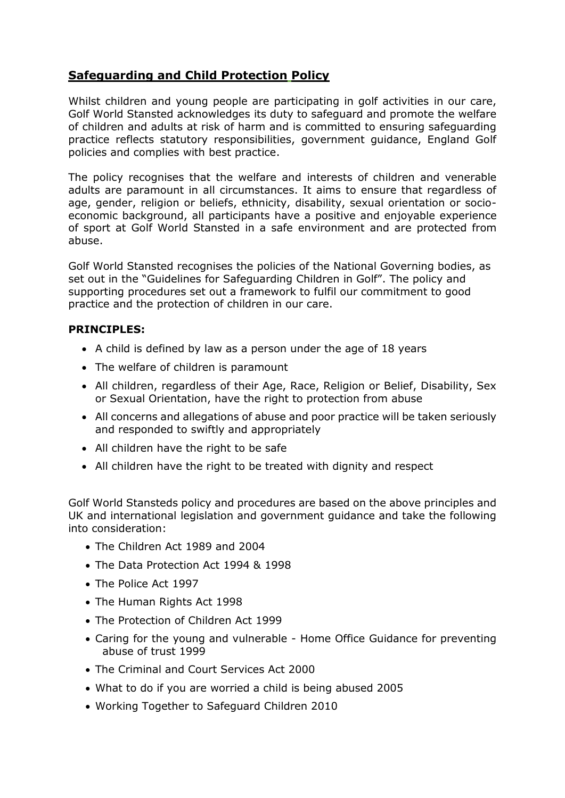### **Safeguarding and Child Protection Policy**

Whilst children and young people are participating in golf activities in our care, Golf World Stansted acknowledges its duty to safeguard and promote the welfare of children and adults at risk of harm and is committed to ensuring safeguarding practice reflects statutory responsibilities, government guidance, England Golf policies and complies with best practice.

The policy recognises that the welfare and interests of children and venerable adults are paramount in all circumstances. It aims to ensure that regardless of age, gender, religion or beliefs, ethnicity, disability, sexual orientation or socioeconomic background, all participants have a positive and enjoyable experience of sport at Golf World Stansted in a safe environment and are protected from abuse.

Golf World Stansted recognises the policies of the National Governing bodies, as set out in the "Guidelines for Safeguarding Children in Golf". The policy and supporting procedures set out a framework to fulfil our commitment to good practice and the protection of children in our care.

#### **PRINCIPLES:**

- A child is defined by law as a person under the age of 18 years
- The welfare of children is paramount
- All children, regardless of their Age, Race, Religion or Belief, Disability, Sex or Sexual Orientation, have the right to protection from abuse
- All concerns and allegations of abuse and poor practice will be taken seriously and responded to swiftly and appropriately
- All children have the right to be safe
- All children have the right to be treated with dignity and respect

Golf World Stansteds policy and procedures are based on the above principles and UK and international legislation and government guidance and take the following into consideration:

- The Children Act 1989 and 2004
- The Data Protection Act 1994 & 1998
- The Police Act 1997
- The Human Rights Act 1998
- The Protection of Children Act 1999
- Caring for the young and vulnerable Home Office Guidance for preventing abuse of trust 1999
- The Criminal and Court Services Act 2000
- What to do if you are worried a child is being abused 2005
- Working Together to Safeguard Children 2010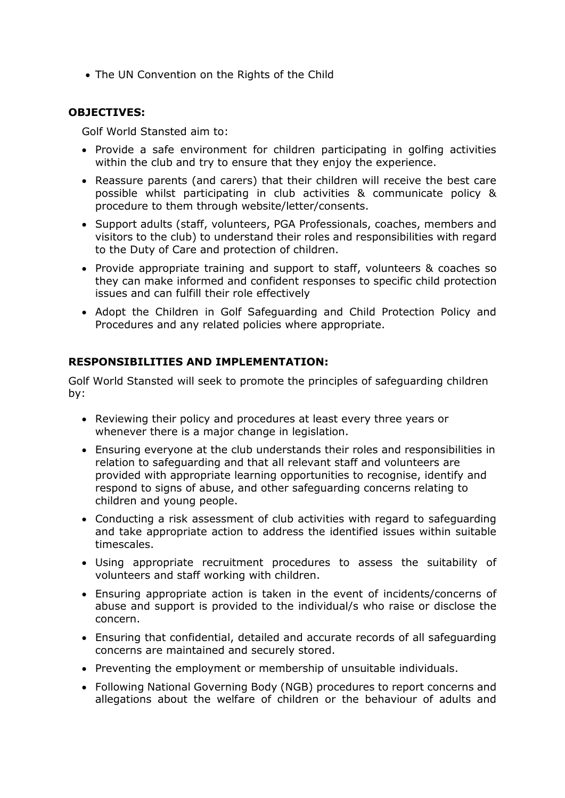• The UN Convention on the Rights of the Child

#### **OBJECTIVES:**

Golf World Stansted aim to:

- Provide a safe environment for children participating in golfing activities within the club and try to ensure that they enjoy the experience.
- Reassure parents (and carers) that their children will receive the best care possible whilst participating in club activities & communicate policy & procedure to them through website/letter/consents.
- Support adults (staff, volunteers, PGA Professionals, coaches, members and visitors to the club) to understand their roles and responsibilities with regard to the Duty of Care and protection of children.
- Provide appropriate training and support to staff, volunteers & coaches so they can make informed and confident responses to specific child protection issues and can fulfill their role effectively
- Adopt the Children in Golf Safeguarding and Child Protection Policy and Procedures and any related policies where appropriate.

#### **RESPONSIBILITIES AND IMPLEMENTATION:**

Golf World Stansted will seek to promote the principles of safeguarding children by:

- Reviewing their policy and procedures at least every three years or whenever there is a major change in legislation.
- Ensuring everyone at the club understands their roles and responsibilities in relation to safeguarding and that all relevant staff and volunteers are provided with appropriate learning opportunities to recognise, identify and respond to signs of abuse, and other safeguarding concerns relating to children and young people.
- Conducting a risk assessment of club activities with regard to safeguarding and take appropriate action to address the identified issues within suitable timescales.
- Using appropriate recruitment procedures to assess the suitability of volunteers and staff working with children.
- Ensuring appropriate action is taken in the event of incidents/concerns of abuse and support is provided to the individual/s who raise or disclose the concern.
- Ensuring that confidential, detailed and accurate records of all safeguarding concerns are maintained and securely stored.
- Preventing the employment or membership of unsuitable individuals.
- Following National Governing Body (NGB) procedures to report concerns and allegations about the welfare of children or the behaviour of adults and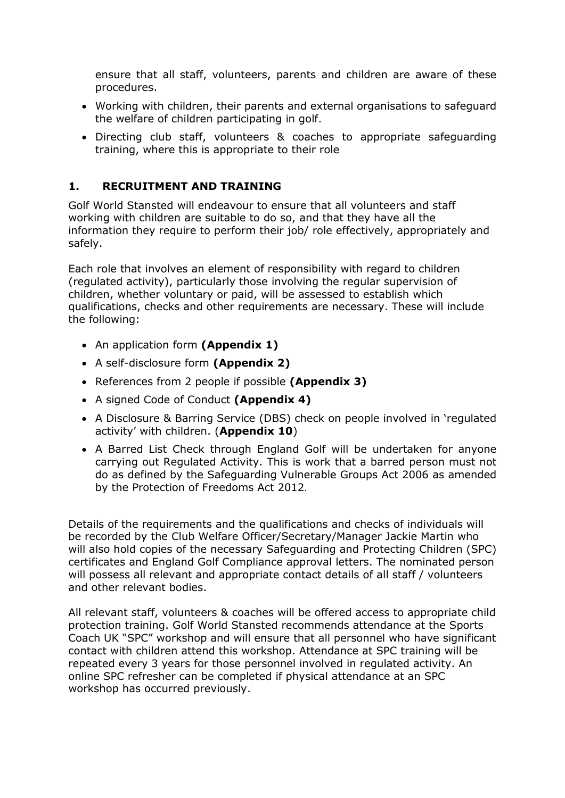ensure that all staff, volunteers, parents and children are aware of these procedures.

- Working with children, their parents and external organisations to safeguard the welfare of children participating in golf.
- Directing club staff, volunteers & coaches to appropriate safeguarding training, where this is appropriate to their role

#### **1. RECRUITMENT AND TRAINING**

Golf World Stansted will endeavour to ensure that all volunteers and staff working with children are suitable to do so, and that they have all the information they require to perform their job/ role effectively, appropriately and safely.

Each role that involves an element of responsibility with regard to children (regulated activity), particularly those involving the regular supervision of children, whether voluntary or paid, will be assessed to establish which qualifications, checks and other requirements are necessary. These will include the following:

- An application form **(Appendix 1)**
- A self-disclosure form **(Appendix 2)**
- References from 2 people if possible **(Appendix 3)**
- A signed Code of Conduct **(Appendix 4)**
- A Disclosure & Barring Service (DBS) check on people involved in 'regulated activity' with children. (**Appendix 10**)
- A Barred List Check through England Golf will be undertaken for anyone carrying out Regulated Activity. This is work that a barred person must not do as defined by the Safeguarding Vulnerable Groups Act 2006 as amended by the Protection of Freedoms Act 2012.

Details of the requirements and the qualifications and checks of individuals will be recorded by the Club Welfare Officer/Secretary/Manager Jackie Martin who will also hold copies of the necessary Safeguarding and Protecting Children (SPC) certificates and England Golf Compliance approval letters. The nominated person will possess all relevant and appropriate contact details of all staff / volunteers and other relevant bodies.

All relevant staff, volunteers & coaches will be offered access to appropriate child protection training. Golf World Stansted recommends attendance at the Sports Coach UK "SPC" workshop and will ensure that all personnel who have significant contact with children attend this workshop. Attendance at SPC training will be repeated every 3 years for those personnel involved in regulated activity. An online SPC refresher can be completed if physical attendance at an SPC workshop has occurred previously.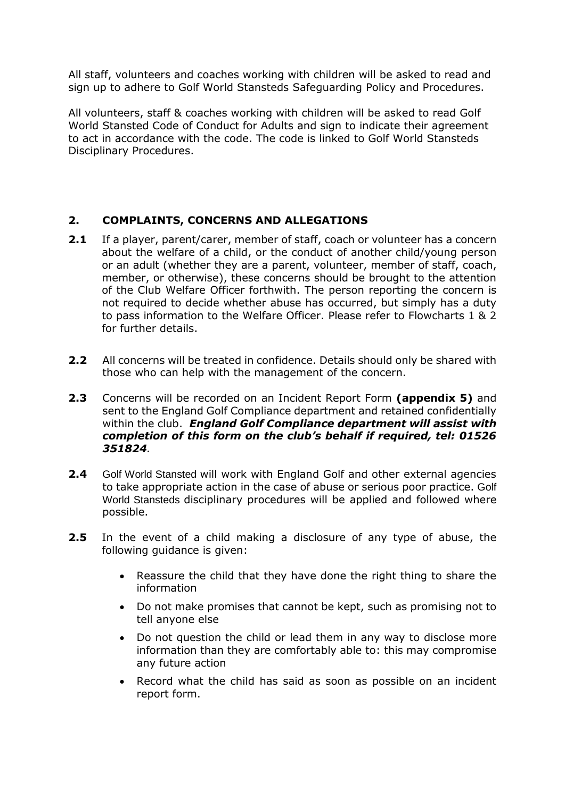All staff, volunteers and coaches working with children will be asked to read and sign up to adhere to Golf World Stansteds Safeguarding Policy and Procedures.

All volunteers, staff & coaches working with children will be asked to read Golf World Stansted Code of Conduct for Adults and sign to indicate their agreement to act in accordance with the code. The code is linked to Golf World Stansteds Disciplinary Procedures.

#### **2. COMPLAINTS, CONCERNS AND ALLEGATIONS**

- **2.1** If a player, parent/carer, member of staff, coach or volunteer has a concern about the welfare of a child, or the conduct of another child/young person or an adult (whether they are a parent, volunteer, member of staff, coach, member, or otherwise), these concerns should be brought to the attention of the Club Welfare Officer forthwith. The person reporting the concern is not required to decide whether abuse has occurred, but simply has a duty to pass information to the Welfare Officer. Please refer to Flowcharts 1 & 2 for further details.
- **2.2** All concerns will be treated in confidence. Details should only be shared with those who can help with the management of the concern.
- **2.3** Concerns will be recorded on an Incident Report Form **(appendix 5)** and sent to the England Golf Compliance department and retained confidentially within the club. *England Golf Compliance department will assist with completion of this form on the club's behalf if required, tel: 01526 351824.*
- **2.4** Golf World Stansted will work with England Golf and other external agencies to take appropriate action in the case of abuse or serious poor practice. Golf World Stansteds disciplinary procedures will be applied and followed where possible.
- **2.5** In the event of a child making a disclosure of any type of abuse, the following guidance is given:
	- Reassure the child that they have done the right thing to share the information
	- Do not make promises that cannot be kept, such as promising not to tell anyone else
	- Do not question the child or lead them in any way to disclose more information than they are comfortably able to: this may compromise any future action
	- Record what the child has said as soon as possible on an incident report form.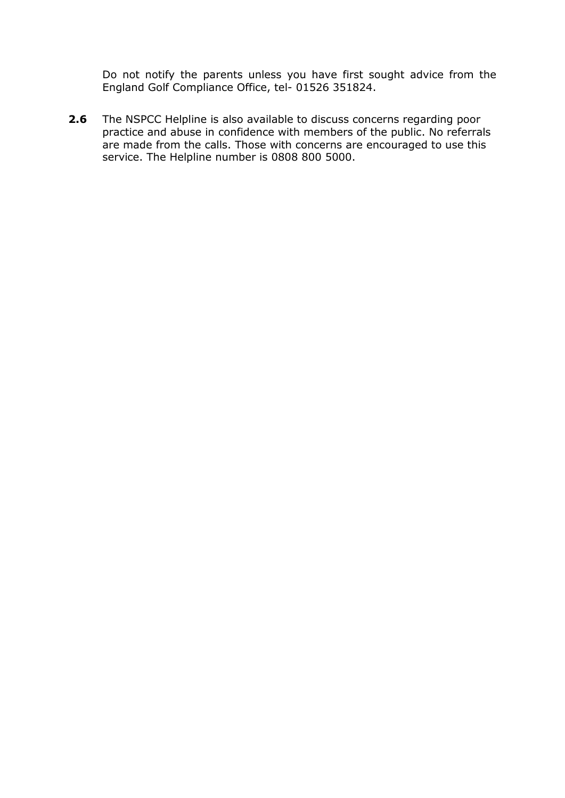Do not notify the parents unless you have first sought advice from the England Golf Compliance Office, tel- 01526 351824.

**2.6** The NSPCC Helpline is also available to discuss concerns regarding poor practice and abuse in confidence with members of the public. No referrals are made from the calls. Those with concerns are encouraged to use this service. The Helpline number is 0808 800 5000.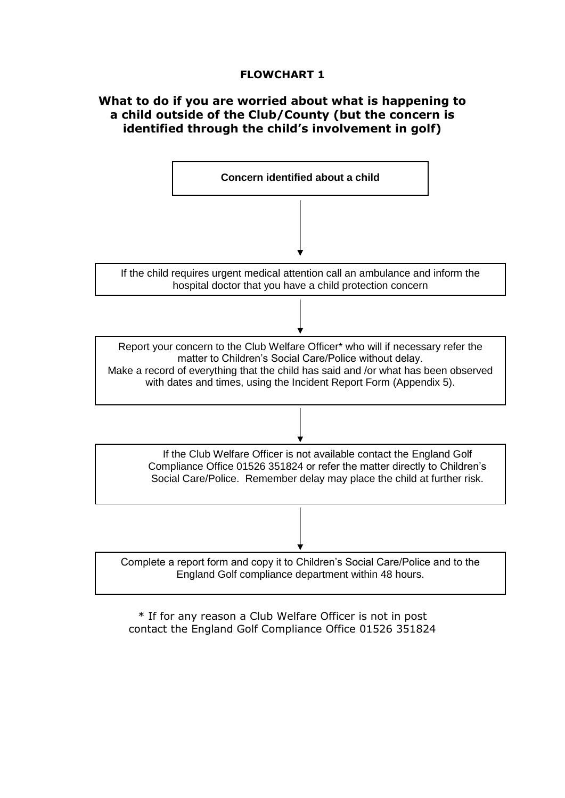#### **FLOWCHART 1**

#### **What to do if you are worried about what is happening to a child outside of the Club/County (but the concern is identified through the child's involvement in golf)**



\* If for any reason a Club Welfare Officer is not in post contact the England Golf Compliance Office 01526 351824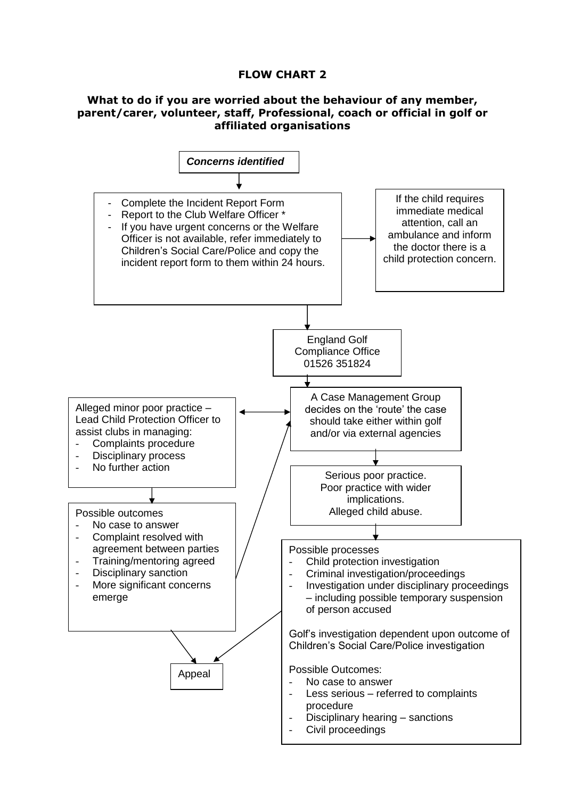#### **FLOW CHART 2**

#### **What to do if you are worried about the behaviour of any member, parent/carer, volunteer, staff, Professional, coach or official in golf or affiliated organisations**

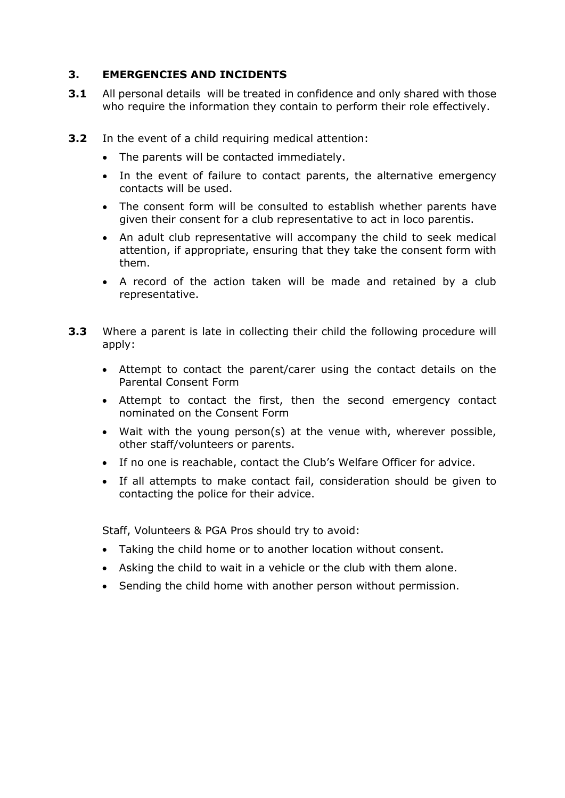#### **3. EMERGENCIES AND INCIDENTS**

- **3.1** All personal details will be treated in confidence and only shared with those who require the information they contain to perform their role effectively.
- **3.2** In the event of a child requiring medical attention:
	- The parents will be contacted immediately.
	- In the event of failure to contact parents, the alternative emergency contacts will be used.
	- The consent form will be consulted to establish whether parents have given their consent for a club representative to act in loco parentis.
	- An adult club representative will accompany the child to seek medical attention, if appropriate, ensuring that they take the consent form with them.
	- A record of the action taken will be made and retained by a club representative.
- **3.3** Where a parent is late in collecting their child the following procedure will apply:
	- Attempt to contact the parent/carer using the contact details on the Parental Consent Form
	- Attempt to contact the first, then the second emergency contact nominated on the Consent Form
	- Wait with the young person(s) at the venue with, wherever possible, other staff/volunteers or parents.
	- If no one is reachable, contact the Club's Welfare Officer for advice.
	- If all attempts to make contact fail, consideration should be given to contacting the police for their advice.

Staff, Volunteers & PGA Pros should try to avoid:

- Taking the child home or to another location without consent.
- Asking the child to wait in a vehicle or the club with them alone.
- Sending the child home with another person without permission.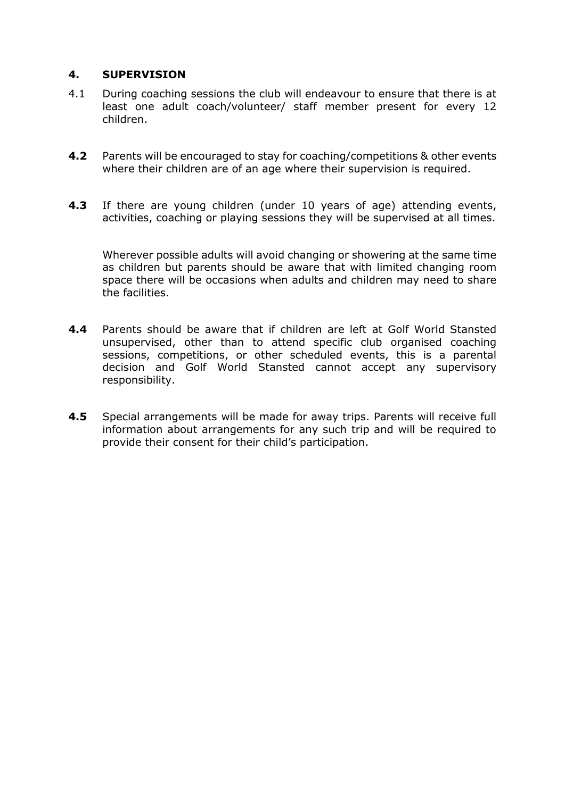#### **4. SUPERVISION**

- 4.1 During coaching sessions the club will endeavour to ensure that there is at least one adult coach/volunteer/ staff member present for every 12 children.
- **4.2** Parents will be encouraged to stay for coaching/competitions & other events where their children are of an age where their supervision is required.
- **4.3** If there are young children (under 10 years of age) attending events, activities, coaching or playing sessions they will be supervised at all times.

Wherever possible adults will avoid changing or showering at the same time as children but parents should be aware that with limited changing room space there will be occasions when adults and children may need to share the facilities.

- **4.4** Parents should be aware that if children are left at Golf World Stansted unsupervised, other than to attend specific club organised coaching sessions, competitions, or other scheduled events, this is a parental decision and Golf World Stansted cannot accept any supervisory responsibility.
- **4.5** Special arrangements will be made for away trips. Parents will receive full information about arrangements for any such trip and will be required to provide their consent for their child's participation.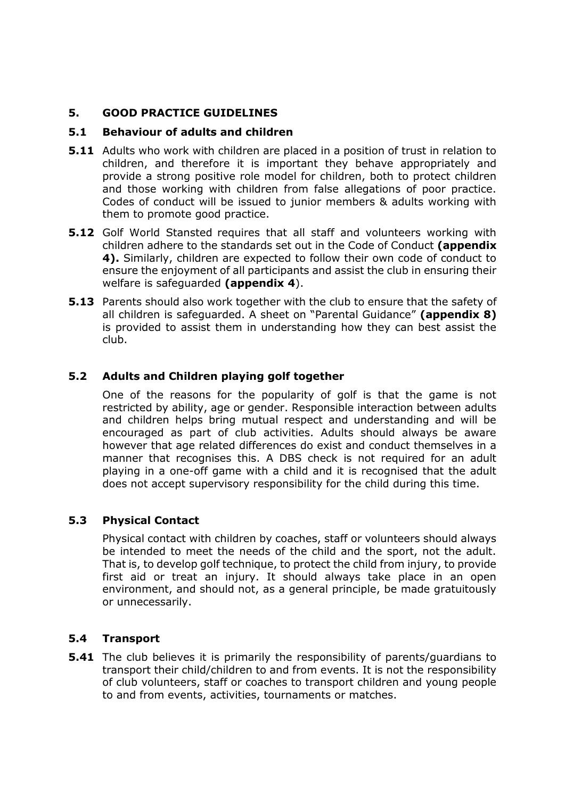#### **5. GOOD PRACTICE GUIDELINES**

#### **5.1 Behaviour of adults and children**

- **5.11** Adults who work with children are placed in a position of trust in relation to children, and therefore it is important they behave appropriately and provide a strong positive role model for children, both to protect children and those working with children from false allegations of poor practice. Codes of conduct will be issued to junior members & adults working with them to promote good practice.
- **5.12** Golf World Stansted requires that all staff and volunteers working with children adhere to the standards set out in the Code of Conduct **(appendix 4).** Similarly, children are expected to follow their own code of conduct to ensure the enjoyment of all participants and assist the club in ensuring their welfare is safeguarded **(appendix 4**).
- **5.13** Parents should also work together with the club to ensure that the safety of all children is safeguarded. A sheet on "Parental Guidance" **(appendix 8)** is provided to assist them in understanding how they can best assist the club.

#### **5.2 Adults and Children playing golf together**

One of the reasons for the popularity of golf is that the game is not restricted by ability, age or gender. Responsible interaction between adults and children helps bring mutual respect and understanding and will be encouraged as part of club activities. Adults should always be aware however that age related differences do exist and conduct themselves in a manner that recognises this. A DBS check is not required for an adult playing in a one-off game with a child and it is recognised that the adult does not accept supervisory responsibility for the child during this time.

#### **5.3 Physical Contact**

Physical contact with children by coaches, staff or volunteers should always be intended to meet the needs of the child and the sport, not the adult. That is, to develop golf technique, to protect the child from injury, to provide first aid or treat an injury. It should always take place in an open environment, and should not, as a general principle, be made gratuitously or unnecessarily.

#### **5.4 Transport**

**5.41** The club believes it is primarily the responsibility of parents/guardians to transport their child/children to and from events. It is not the responsibility of club volunteers, staff or coaches to transport children and young people to and from events, activities, tournaments or matches.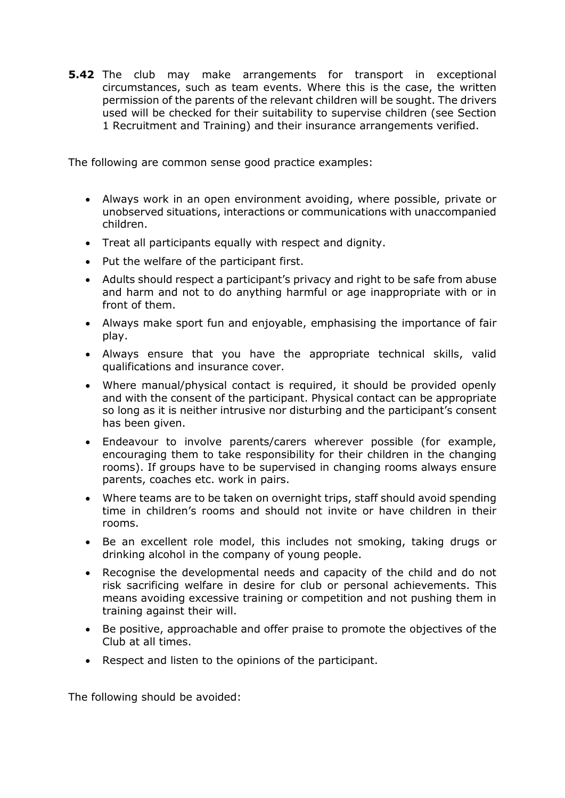**5.42** The club may make arrangements for transport in exceptional circumstances, such as team events. Where this is the case, the written permission of the parents of the relevant children will be sought. The drivers used will be checked for their suitability to supervise children (see Section 1 Recruitment and Training) and their insurance arrangements verified.

The following are common sense good practice examples:

- Always work in an open environment avoiding, where possible, private or unobserved situations, interactions or communications with unaccompanied children.
- Treat all participants equally with respect and dignity.
- Put the welfare of the participant first.
- Adults should respect a participant's privacy and right to be safe from abuse and harm and not to do anything harmful or age inappropriate with or in front of them.
- Always make sport fun and enjoyable, emphasising the importance of fair play.
- Always ensure that you have the appropriate technical skills, valid qualifications and insurance cover.
- Where manual/physical contact is required, it should be provided openly and with the consent of the participant. Physical contact can be appropriate so long as it is neither intrusive nor disturbing and the participant's consent has been given.
- Endeavour to involve parents/carers wherever possible (for example, encouraging them to take responsibility for their children in the changing rooms). If groups have to be supervised in changing rooms always ensure parents, coaches etc. work in pairs.
- Where teams are to be taken on overnight trips, staff should avoid spending time in children's rooms and should not invite or have children in their rooms.
- Be an excellent role model, this includes not smoking, taking drugs or drinking alcohol in the company of young people.
- Recognise the developmental needs and capacity of the child and do not risk sacrificing welfare in desire for club or personal achievements. This means avoiding excessive training or competition and not pushing them in training against their will.
- Be positive, approachable and offer praise to promote the objectives of the Club at all times.
- Respect and listen to the opinions of the participant.

The following should be avoided: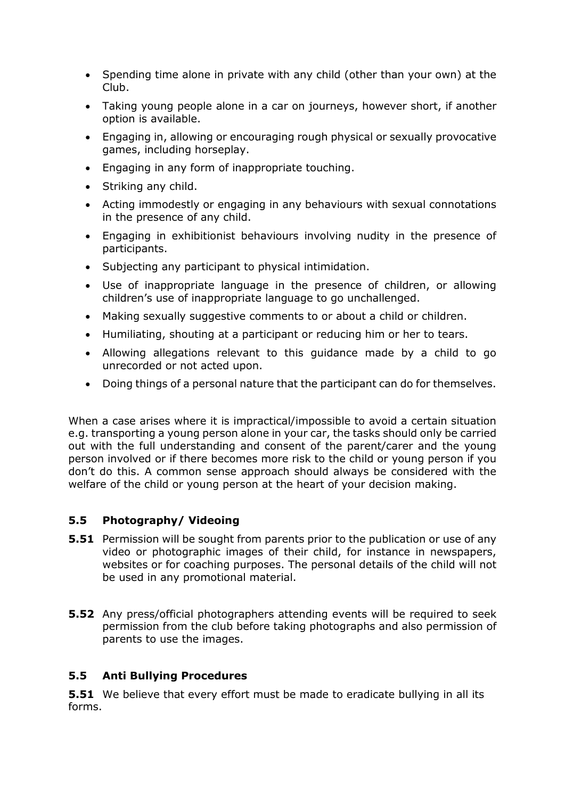- Spending time alone in private with any child (other than your own) at the Club.
- Taking young people alone in a car on journeys, however short, if another option is available.
- Engaging in, allowing or encouraging rough physical or sexually provocative games, including horseplay.
- Engaging in any form of inappropriate touching.
- Striking any child.
- Acting immodestly or engaging in any behaviours with sexual connotations in the presence of any child.
- Engaging in exhibitionist behaviours involving nudity in the presence of participants.
- Subjecting any participant to physical intimidation.
- Use of inappropriate language in the presence of children, or allowing children's use of inappropriate language to go unchallenged.
- Making sexually suggestive comments to or about a child or children.
- Humiliating, shouting at a participant or reducing him or her to tears.
- Allowing allegations relevant to this guidance made by a child to go unrecorded or not acted upon.
- Doing things of a personal nature that the participant can do for themselves.

When a case arises where it is impractical/impossible to avoid a certain situation e.g. transporting a young person alone in your car, the tasks should only be carried out with the full understanding and consent of the parent/carer and the young person involved or if there becomes more risk to the child or young person if you don't do this. A common sense approach should always be considered with the welfare of the child or young person at the heart of your decision making.

#### **5.5 Photography/ Videoing**

- **5.51** Permission will be sought from parents prior to the publication or use of any video or photographic images of their child, for instance in newspapers, websites or for coaching purposes. The personal details of the child will not be used in any promotional material.
- **5.52** Any press/official photographers attending events will be required to seek permission from the club before taking photographs and also permission of parents to use the images.

#### **5.5 Anti Bullying Procedures**

**5.51** We believe that every effort must be made to eradicate bullying in all its forms.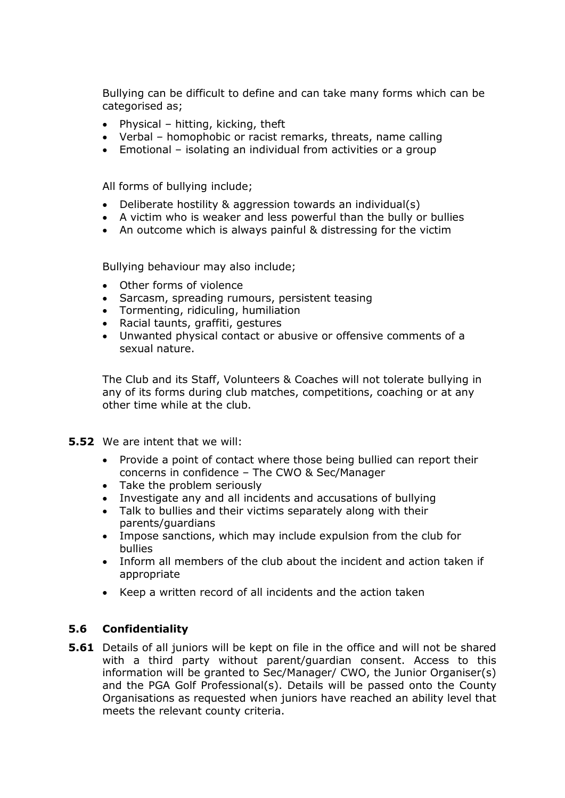Bullying can be difficult to define and can take many forms which can be categorised as;

- Physical hitting, kicking, theft
- Verbal homophobic or racist remarks, threats, name calling
- Emotional isolating an individual from activities or a group

All forms of bullying include;

- Deliberate hostility & aggression towards an individual(s)
- A victim who is weaker and less powerful than the bully or bullies
- An outcome which is always painful & distressing for the victim

Bullying behaviour may also include;

- Other forms of violence
- Sarcasm, spreading rumours, persistent teasing
- Tormenting, ridiculing, humiliation
- Racial taunts, graffiti, gestures
- Unwanted physical contact or abusive or offensive comments of a sexual nature.

The Club and its Staff, Volunteers & Coaches will not tolerate bullying in any of its forms during club matches, competitions, coaching or at any other time while at the club.

- **5.52** We are intent that we will:
	- Provide a point of contact where those being bullied can report their concerns in confidence – The CWO & Sec/Manager
	- Take the problem seriously
	- Investigate any and all incidents and accusations of bullying
	- Talk to bullies and their victims separately along with their parents/guardians
	- Impose sanctions, which may include expulsion from the club for bullies
	- Inform all members of the club about the incident and action taken if appropriate
	- Keep a written record of all incidents and the action taken

#### **5.6 Confidentiality**

**5.61** Details of all juniors will be kept on file in the office and will not be shared with a third party without parent/guardian consent. Access to this information will be granted to Sec/Manager/ CWO, the Junior Organiser(s) and the PGA Golf Professional(s). Details will be passed onto the County Organisations as requested when juniors have reached an ability level that meets the relevant county criteria.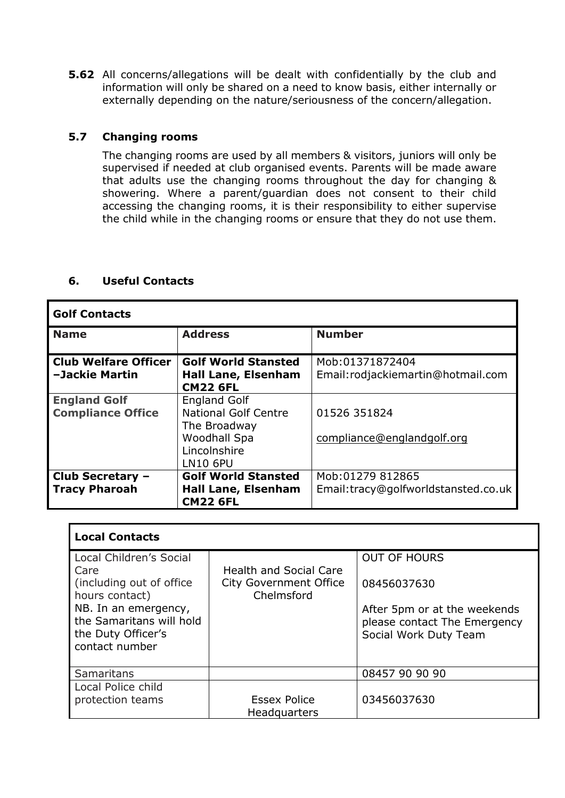**5.62** All concerns/allegations will be dealt with confidentially by the club and information will only be shared on a need to know basis, either internally or externally depending on the nature/seriousness of the concern/allegation.

#### **5.7 Changing rooms**

The changing rooms are used by all members & visitors, juniors will only be supervised if needed at club organised events. Parents will be made aware that adults use the changing rooms throughout the day for changing & showering. Where a parent/guardian does not consent to their child accessing the changing rooms, it is their responsibility to either supervise the child while in the changing rooms or ensure that they do not use them.

### **6. Useful Contacts**

| <b>Golf Contacts</b>                            |                                                                                                                       |                                                         |  |
|-------------------------------------------------|-----------------------------------------------------------------------------------------------------------------------|---------------------------------------------------------|--|
| <b>Name</b>                                     | <b>Address</b>                                                                                                        | <b>Number</b>                                           |  |
| <b>Club Welfare Officer</b><br>-Jackie Martin   | <b>Golf World Stansted</b><br><b>Hall Lane, Elsenham</b><br><b>CM22 6FL</b>                                           | Mob:01371872404<br>Email: rodjackiemartin@hotmail.com   |  |
| <b>England Golf</b><br><b>Compliance Office</b> | <b>England Golf</b><br><b>National Golf Centre</b><br>The Broadway<br>Woodhall Spa<br>Lincolnshire<br><b>LN10 6PU</b> | 01526 351824<br>compliance@englandgolf.org              |  |
| Club Secretary -<br><b>Tracy Pharoah</b>        | <b>Golf World Stansted</b><br><b>Hall Lane, Elsenham</b><br><b>CM22 6FL</b>                                           | Mob:01279 812865<br>Email:tracy@golfworldstansted.co.uk |  |

| <b>Local Contacts</b>                                                                    |                                                                              |                                                                                       |  |  |
|------------------------------------------------------------------------------------------|------------------------------------------------------------------------------|---------------------------------------------------------------------------------------|--|--|
| Local Children's Social                                                                  |                                                                              | <b>OUT OF HOURS</b>                                                                   |  |  |
| Care<br>(including out of office)<br>hours contact)                                      | <b>Health and Social Care</b><br><b>City Government Office</b><br>Chelmsford | 08456037630                                                                           |  |  |
| NB. In an emergency,<br>the Samaritans will hold<br>the Duty Officer's<br>contact number |                                                                              | After 5pm or at the weekends<br>please contact The Emergency<br>Social Work Duty Team |  |  |
|                                                                                          |                                                                              |                                                                                       |  |  |
| <b>Samaritans</b>                                                                        |                                                                              | 08457 90 90 90                                                                        |  |  |
| Local Police child<br>protection teams                                                   | Essex Police<br>Headquarters                                                 | 03456037630                                                                           |  |  |